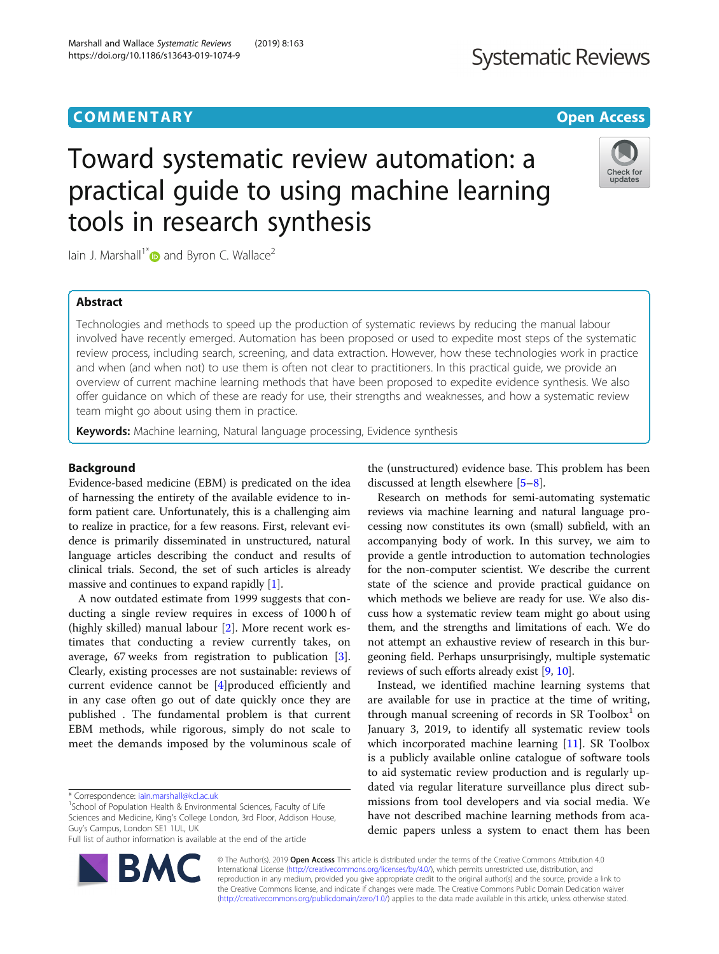# **COMMENTARY COMMENTARY Open Access**

# Toward systematic review automation: a practical guide to using machine learning tools in research synthesis

lain J. Marshall<sup>1\*</sup> and Byron C. Wallace<sup>2</sup>

# Abstract

Technologies and methods to speed up the production of systematic reviews by reducing the manual labour involved have recently emerged. Automation has been proposed or used to expedite most steps of the systematic review process, including search, screening, and data extraction. However, how these technologies work in practice and when (and when not) to use them is often not clear to practitioners. In this practical guide, we provide an overview of current machine learning methods that have been proposed to expedite evidence synthesis. We also offer guidance on which of these are ready for use, their strengths and weaknesses, and how a systematic review team might go about using them in practice.

Keywords: Machine learning, Natural language processing, Evidence synthesis

### Background

Evidence-based medicine (EBM) is predicated on the idea of harnessing the entirety of the available evidence to inform patient care. Unfortunately, this is a challenging aim to realize in practice, for a few reasons. First, relevant evidence is primarily disseminated in unstructured, natural language articles describing the conduct and results of clinical trials. Second, the set of such articles is already massive and continues to expand rapidly [[1](#page-8-0)].

A now outdated estimate from 1999 suggests that conducting a single review requires in excess of 1000 h of (highly skilled) manual labour [[2\]](#page-8-0). More recent work estimates that conducting a review currently takes, on average, 67 weeks from registration to publication [\[3](#page-8-0)]. Clearly, existing processes are not sustainable: reviews of current evidence cannot be [\[4](#page-8-0)]produced efficiently and in any case often go out of date quickly once they are published . The fundamental problem is that current EBM methods, while rigorous, simply do not scale to meet the demands imposed by the voluminous scale of

\* Correspondence: [iain.marshall@kcl.ac.uk](mailto:iain.marshall@kcl.ac.uk) <sup>1</sup>

<sup>1</sup>School of Population Health & Environmental Sciences, Faculty of Life Sciences and Medicine, King's College London, 3rd Floor, Addison House, Guy's Campus, London SE1 1UL, UK

Full list of author information is available at the end of the article

the (unstructured) evidence base. This problem has been discussed at length elsewhere [\[5](#page-8-0)–[8\]](#page-8-0).

Research on methods for semi-automating systematic reviews via machine learning and natural language processing now constitutes its own (small) subfield, with an accompanying body of work. In this survey, we aim to provide a gentle introduction to automation technologies for the non-computer scientist. We describe the current state of the science and provide practical guidance on which methods we believe are ready for use. We also discuss how a systematic review team might go about using them, and the strengths and limitations of each. We do not attempt an exhaustive review of research in this burgeoning field. Perhaps unsurprisingly, multiple systematic reviews of such efforts already exist [[9](#page-8-0), [10\]](#page-8-0).

Instead, we identified machine learning systems that are available for use in practice at the time of writing, through manual screening of records in SR  $Toolbox<sup>1</sup>$  on January 3, 2019, to identify all systematic review tools which incorporated machine learning [[11](#page-8-0)]. SR Toolbox is a publicly available online catalogue of software tools to aid systematic review production and is regularly updated via regular literature surveillance plus direct submissions from tool developers and via social media. We have not described machine learning methods from academic papers unless a system to enact them has been

© The Author(s). 2019 Open Access This article is distributed under the terms of the Creative Commons Attribution 4.0 International License [\(http://creativecommons.org/licenses/by/4.0/](http://creativecommons.org/licenses/by/4.0/)), which permits unrestricted use, distribution, and reproduction in any medium, provided you give appropriate credit to the original author(s) and the source, provide a link to the Creative Commons license, and indicate if changes were made. The Creative Commons Public Domain Dedication waiver [\(http://creativecommons.org/publicdomain/zero/1.0/](http://creativecommons.org/publicdomain/zero/1.0/)) applies to the data made available in this article, unless otherwise stated.



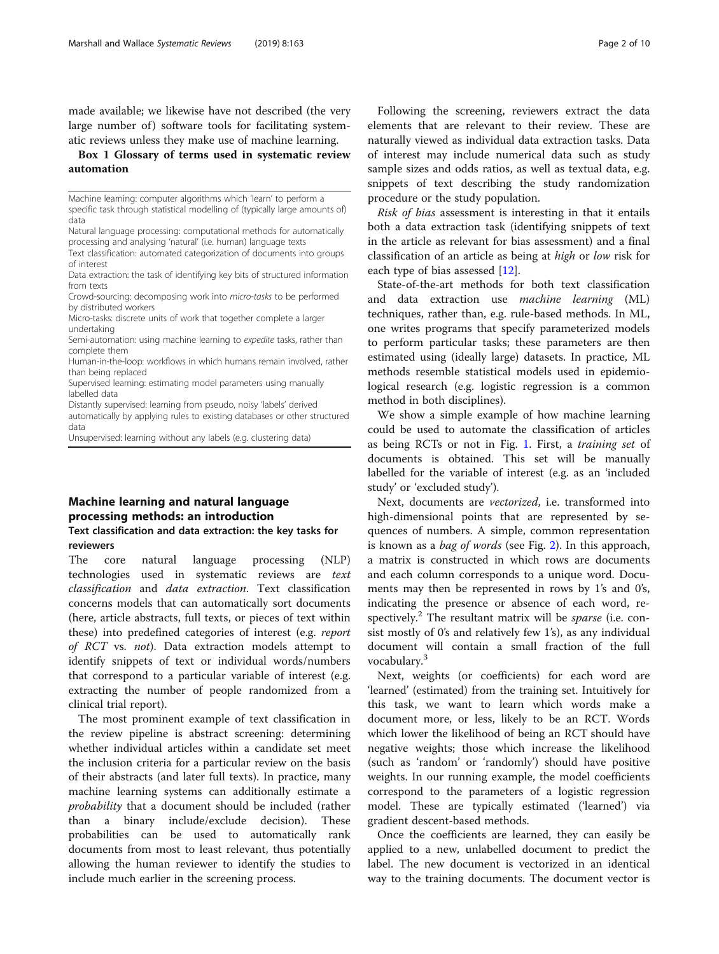made available; we likewise have not described (the very large number of) software tools for facilitating systematic reviews unless they make use of machine learning.

#### Box 1 Glossary of terms used in systematic review automation

Natural language processing: computational methods for automatically processing and analysing 'natural' (i.e. human) language texts

Crowd-sourcing: decomposing work into micro-tasks to be performed by distributed workers

Micro-tasks: discrete units of work that together complete a larger undertaking

- Semi-automation: using machine learning to expedite tasks, rather than complete them
- Human-in-the-loop: workflows in which humans remain involved, rather than being replaced
- Supervised learning: estimating model parameters using manually labelled data

Distantly supervised: learning from pseudo, noisy 'labels' derived

automatically by applying rules to existing databases or other structured data

Unsupervised: learning without any labels (e.g. clustering data)

## Machine learning and natural language processing methods: an introduction

### Text classification and data extraction: the key tasks for reviewers

The core natural language processing (NLP) technologies used in systematic reviews are text classification and data extraction. Text classification concerns models that can automatically sort documents (here, article abstracts, full texts, or pieces of text within these) into predefined categories of interest (e.g. report of RCT vs. not). Data extraction models attempt to identify snippets of text or individual words/numbers that correspond to a particular variable of interest (e.g. extracting the number of people randomized from a clinical trial report).

The most prominent example of text classification in the review pipeline is abstract screening: determining whether individual articles within a candidate set meet the inclusion criteria for a particular review on the basis of their abstracts (and later full texts). In practice, many machine learning systems can additionally estimate a probability that a document should be included (rather than a binary include/exclude decision). These probabilities can be used to automatically rank documents from most to least relevant, thus potentially allowing the human reviewer to identify the studies to include much earlier in the screening process.

Following the screening, reviewers extract the data elements that are relevant to their review. These are naturally viewed as individual data extraction tasks. Data of interest may include numerical data such as study sample sizes and odds ratios, as well as textual data, e.g. snippets of text describing the study randomization procedure or the study population.

Risk of bias assessment is interesting in that it entails both a data extraction task (identifying snippets of text in the article as relevant for bias assessment) and a final classification of an article as being at high or low risk for each type of bias assessed [\[12\]](#page-8-0).

State-of-the-art methods for both text classification and data extraction use machine learning (ML) techniques, rather than, e.g. rule-based methods. In ML, one writes programs that specify parameterized models to perform particular tasks; these parameters are then estimated using (ideally large) datasets. In practice, ML methods resemble statistical models used in epidemiological research (e.g. logistic regression is a common method in both disciplines).

We show a simple example of how machine learning could be used to automate the classification of articles as being RCTs or not in Fig. [1](#page-2-0). First, a training set of documents is obtained. This set will be manually labelled for the variable of interest (e.g. as an 'included study' or 'excluded study').

Next, documents are vectorized, i.e. transformed into high-dimensional points that are represented by sequences of numbers. A simple, common representation is known as a bag of words (see Fig. [2](#page-3-0)). In this approach, a matrix is constructed in which rows are documents and each column corresponds to a unique word. Documents may then be represented in rows by 1's and 0's, indicating the presence or absence of each word, respectively.<sup>2</sup> The resultant matrix will be *sparse* (i.e. consist mostly of 0's and relatively few 1's), as any individual document will contain a small fraction of the full vocabulary.<sup>3</sup>

Next, weights (or coefficients) for each word are 'learned' (estimated) from the training set. Intuitively for this task, we want to learn which words make a document more, or less, likely to be an RCT. Words which lower the likelihood of being an RCT should have negative weights; those which increase the likelihood (such as 'random' or 'randomly') should have positive weights. In our running example, the model coefficients correspond to the parameters of a logistic regression model. These are typically estimated ('learned') via gradient descent-based methods.

Once the coefficients are learned, they can easily be applied to a new, unlabelled document to predict the label. The new document is vectorized in an identical way to the training documents. The document vector is

Machine learning: computer algorithms which 'learn' to perform a specific task through statistical modelling of (typically large amounts of) data

Text classification: automated categorization of documents into groups of interest

Data extraction: the task of identifying key bits of structured information from texts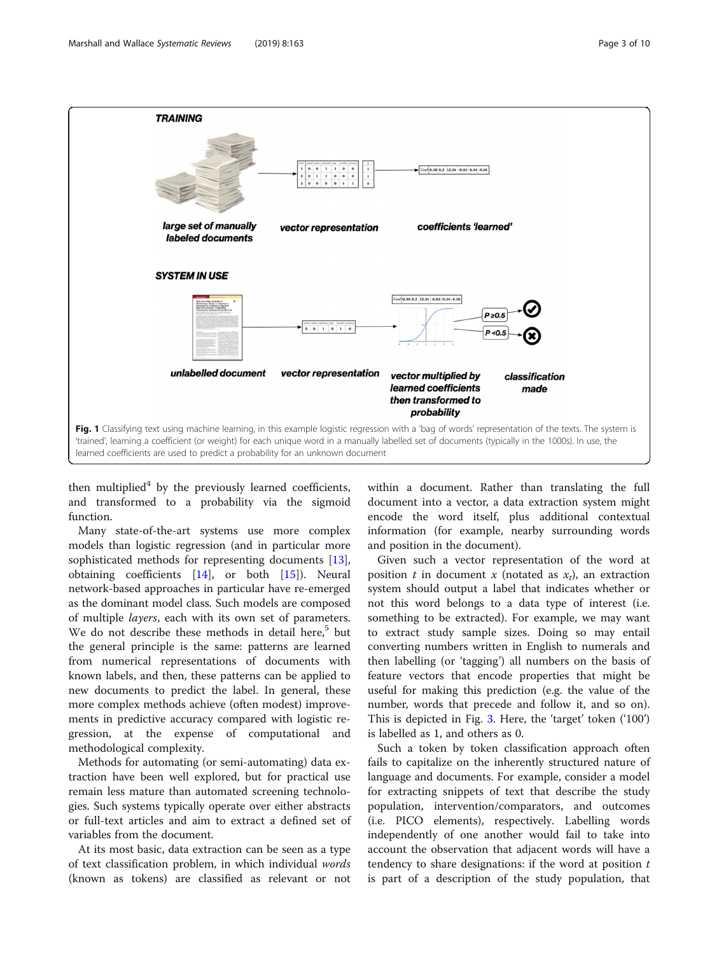<span id="page-2-0"></span>

then multiplied $4$  by the previously learned coefficients, and transformed to a probability via the sigmoid function.

Many state-of-the-art systems use more complex models than logistic regression (and in particular more sophisticated methods for representing documents [\[13](#page-8-0)], obtaining coefficients [\[14](#page-8-0)], or both [\[15](#page-8-0)]). Neural network-based approaches in particular have re-emerged as the dominant model class. Such models are composed of multiple layers, each with its own set of parameters. We do not describe these methods in detail here, $5$  but the general principle is the same: patterns are learned from numerical representations of documents with known labels, and then, these patterns can be applied to new documents to predict the label. In general, these more complex methods achieve (often modest) improvements in predictive accuracy compared with logistic regression, at the expense of computational and methodological complexity.

Methods for automating (or semi-automating) data extraction have been well explored, but for practical use remain less mature than automated screening technologies. Such systems typically operate over either abstracts or full-text articles and aim to extract a defined set of variables from the document.

At its most basic, data extraction can be seen as a type of text classification problem, in which individual words (known as tokens) are classified as relevant or not within a document. Rather than translating the full document into a vector, a data extraction system might encode the word itself, plus additional contextual information (for example, nearby surrounding words and position in the document).

Given such a vector representation of the word at position t in document x (notated as  $x_t$ ), an extraction system should output a label that indicates whether or not this word belongs to a data type of interest (i.e. something to be extracted). For example, we may want to extract study sample sizes. Doing so may entail converting numbers written in English to numerals and then labelling (or 'tagging') all numbers on the basis of feature vectors that encode properties that might be useful for making this prediction (e.g. the value of the number, words that precede and follow it, and so on). This is depicted in Fig. [3.](#page-4-0) Here, the 'target' token ('100') is labelled as 1, and others as 0.

Such a token by token classification approach often fails to capitalize on the inherently structured nature of language and documents. For example, consider a model for extracting snippets of text that describe the study population, intervention/comparators, and outcomes (i.e. PICO elements), respectively. Labelling words independently of one another would fail to take into account the observation that adjacent words will have a tendency to share designations: if the word at position  $t$ is part of a description of the study population, that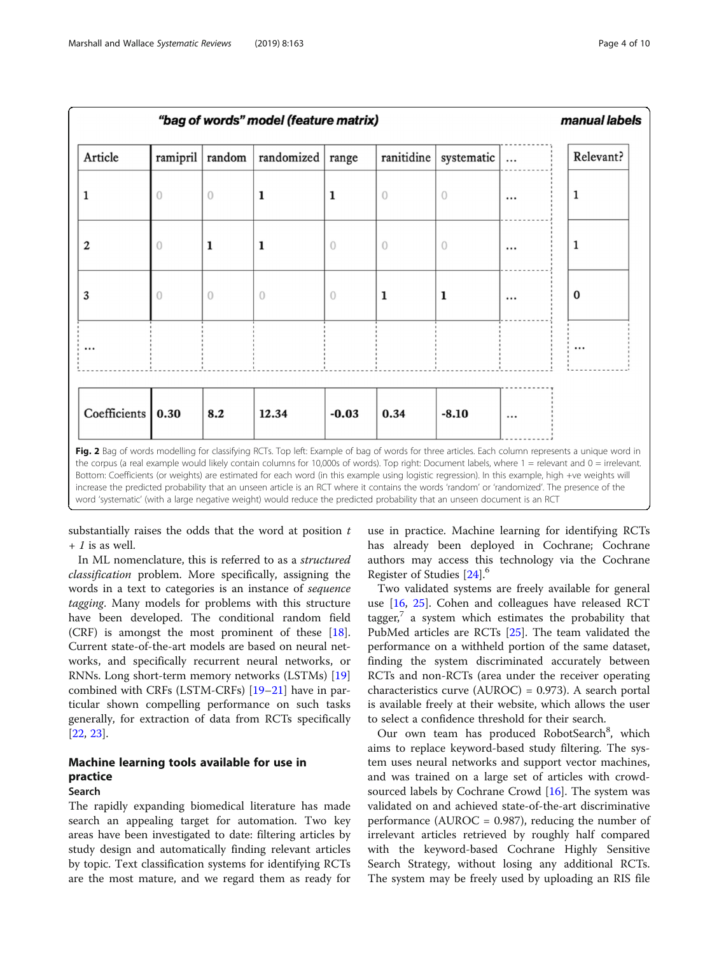<span id="page-3-0"></span>

| "bag of words" model (feature matrix)                                                                                                                                                                                                                                                                                                                                                                                                                                                                                                                                                                                                                                                                                                         |          |              |            |              |            |            |          | manual labels |
|-----------------------------------------------------------------------------------------------------------------------------------------------------------------------------------------------------------------------------------------------------------------------------------------------------------------------------------------------------------------------------------------------------------------------------------------------------------------------------------------------------------------------------------------------------------------------------------------------------------------------------------------------------------------------------------------------------------------------------------------------|----------|--------------|------------|--------------|------------|------------|----------|---------------|
| Article                                                                                                                                                                                                                                                                                                                                                                                                                                                                                                                                                                                                                                                                                                                                       | ramipril | random       | randomized | range        | ranitidine | systematic | $\cdots$ | Relevant?     |
| 1                                                                                                                                                                                                                                                                                                                                                                                                                                                                                                                                                                                                                                                                                                                                             | 0        | $\theta$     | 1          | 1            | 0          | $\theta$   |          | 1             |
| 2                                                                                                                                                                                                                                                                                                                                                                                                                                                                                                                                                                                                                                                                                                                                             | $\theta$ | 1            | 1          | $\Omega$     | $\theta$   | $\Omega$   | $\cdots$ | 1             |
| 3                                                                                                                                                                                                                                                                                                                                                                                                                                                                                                                                                                                                                                                                                                                                             | 0        | $\mathbf{0}$ | $\Omega$   | $\mathbf{0}$ | 1          | 1          |          | $\bf{0}$      |
|                                                                                                                                                                                                                                                                                                                                                                                                                                                                                                                                                                                                                                                                                                                                               |          |              |            |              |            |            |          |               |
|                                                                                                                                                                                                                                                                                                                                                                                                                                                                                                                                                                                                                                                                                                                                               |          |              |            |              |            |            |          |               |
| Coefficients                                                                                                                                                                                                                                                                                                                                                                                                                                                                                                                                                                                                                                                                                                                                  | 0.30     | 8.2          | 12.34      | $-0.03$      | 0.34       | $-8.10$    |          |               |
| Fig. 2 Bag of words modelling for classifying RCTs. Top left: Example of bag of words for three articles. Each column represents a unique word in<br>the corpus (a real example would likely contain columns for 10,000s of words). Top right: Document labels, where $1 =$ relevant and $0 =$ irrelevant.<br>Bottom: Coefficients (or weights) are estimated for each word (in this example using logistic regression). In this example, high +ve weights will<br>increase the predicted probability that an unseen article is an RCT where it contains the words 'random' or 'randomized'. The presence of the<br>word 'systematic' (with a large negative weight) would reduce the predicted probability that an unseen document is an RCT |          |              |            |              |            |            |          |               |

substantially raises the odds that the word at position  $t$  $+ 1$  is as well.

In ML nomenclature, this is referred to as a structured classification problem. More specifically, assigning the words in a text to categories is an instance of sequence tagging. Many models for problems with this structure have been developed. The conditional random field (CRF) is amongst the most prominent of these [\[18](#page-8-0)]. Current state-of-the-art models are based on neural networks, and specifically recurrent neural networks, or RNNs. Long short-term memory networks (LSTMs) [[19](#page-8-0)] combined with CRFs (LSTM-CRFs) [\[19](#page-8-0)–[21\]](#page-8-0) have in particular shown compelling performance on such tasks generally, for extraction of data from RCTs specifically [[22,](#page-8-0) [23\]](#page-8-0).

# Machine learning tools available for use in practice

#### Search

The rapidly expanding biomedical literature has made search an appealing target for automation. Two key areas have been investigated to date: filtering articles by study design and automatically finding relevant articles by topic. Text classification systems for identifying RCTs are the most mature, and we regard them as ready for

use in practice. Machine learning for identifying RCTs has already been deployed in Cochrane; Cochrane authors may access this technology via the Cochrane Register of Studies [[24\]](#page-8-0).<sup>6</sup>

Two validated systems are freely available for general use [[16,](#page-8-0) [25](#page-8-0)]. Cohen and colleagues have released RCT tagger, $7$  a system which estimates the probability that PubMed articles are RCTs [\[25\]](#page-8-0). The team validated the performance on a withheld portion of the same dataset, finding the system discriminated accurately between RCTs and non-RCTs (area under the receiver operating characteristics curve (AUROC) = 0.973). A search portal is available freely at their website, which allows the user to select a confidence threshold for their search.

Our own team has produced RobotSearch<sup>8</sup>, which aims to replace keyword-based study filtering. The system uses neural networks and support vector machines, and was trained on a large set of articles with crowdsourced labels by Cochrane Crowd [[16\]](#page-8-0). The system was validated on and achieved state-of-the-art discriminative performance (AUROC =  $0.987$ ), reducing the number of irrelevant articles retrieved by roughly half compared with the keyword-based Cochrane Highly Sensitive Search Strategy, without losing any additional RCTs. The system may be freely used by uploading an RIS file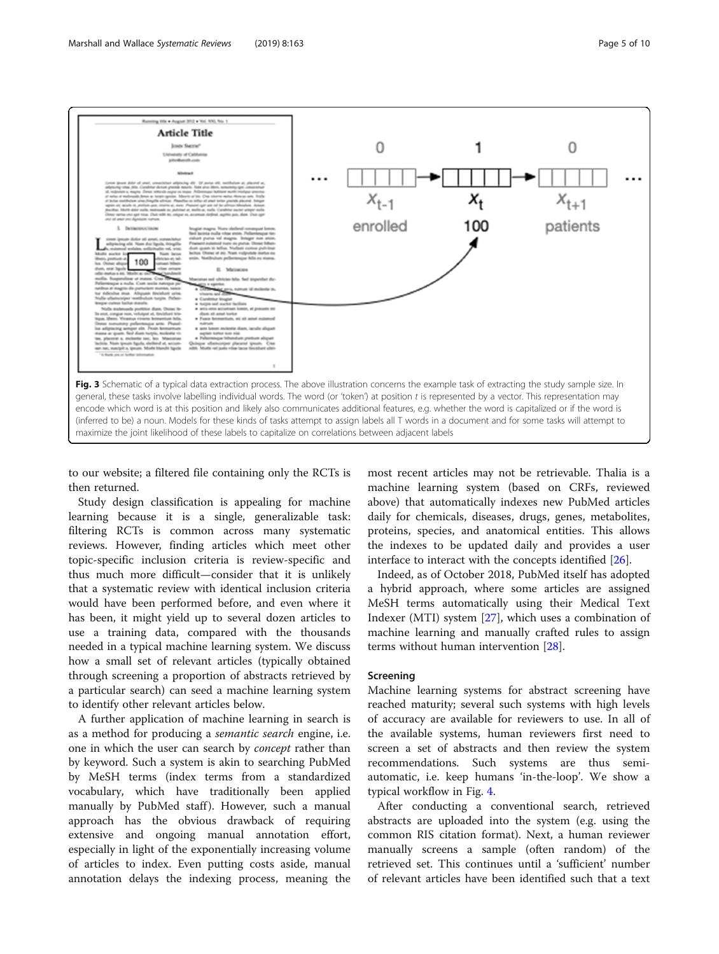<span id="page-4-0"></span>

to our website; a filtered file containing only the RCTs is then returned.

Study design classification is appealing for machine learning because it is a single, generalizable task: filtering RCTs is common across many systematic reviews. However, finding articles which meet other topic-specific inclusion criteria is review-specific and thus much more difficult—consider that it is unlikely that a systematic review with identical inclusion criteria would have been performed before, and even where it has been, it might yield up to several dozen articles to use a training data, compared with the thousands needed in a typical machine learning system. We discuss how a small set of relevant articles (typically obtained through screening a proportion of abstracts retrieved by a particular search) can seed a machine learning system to identify other relevant articles below.

A further application of machine learning in search is as a method for producing a semantic search engine, i.e. one in which the user can search by concept rather than by keyword. Such a system is akin to searching PubMed by MeSH terms (index terms from a standardized vocabulary, which have traditionally been applied manually by PubMed staff). However, such a manual approach has the obvious drawback of requiring extensive and ongoing manual annotation effort, especially in light of the exponentially increasing volume of articles to index. Even putting costs aside, manual annotation delays the indexing process, meaning the

most recent articles may not be retrievable. Thalia is a machine learning system (based on CRFs, reviewed above) that automatically indexes new PubMed articles daily for chemicals, diseases, drugs, genes, metabolites, proteins, species, and anatomical entities. This allows the indexes to be updated daily and provides a user interface to interact with the concepts identified [\[26](#page-8-0)].

Indeed, as of October 2018, PubMed itself has adopted a hybrid approach, where some articles are assigned MeSH terms automatically using their Medical Text Indexer (MTI) system [[27\]](#page-8-0), which uses a combination of machine learning and manually crafted rules to assign terms without human intervention [\[28\]](#page-8-0).

#### Screening

Machine learning systems for abstract screening have reached maturity; several such systems with high levels of accuracy are available for reviewers to use. In all of the available systems, human reviewers first need to screen a set of abstracts and then review the system recommendations. Such systems are thus semiautomatic, i.e. keep humans 'in-the-loop'. We show a typical workflow in Fig. [4.](#page-5-0)

After conducting a conventional search, retrieved abstracts are uploaded into the system (e.g. using the common RIS citation format). Next, a human reviewer manually screens a sample (often random) of the retrieved set. This continues until a 'sufficient' number of relevant articles have been identified such that a text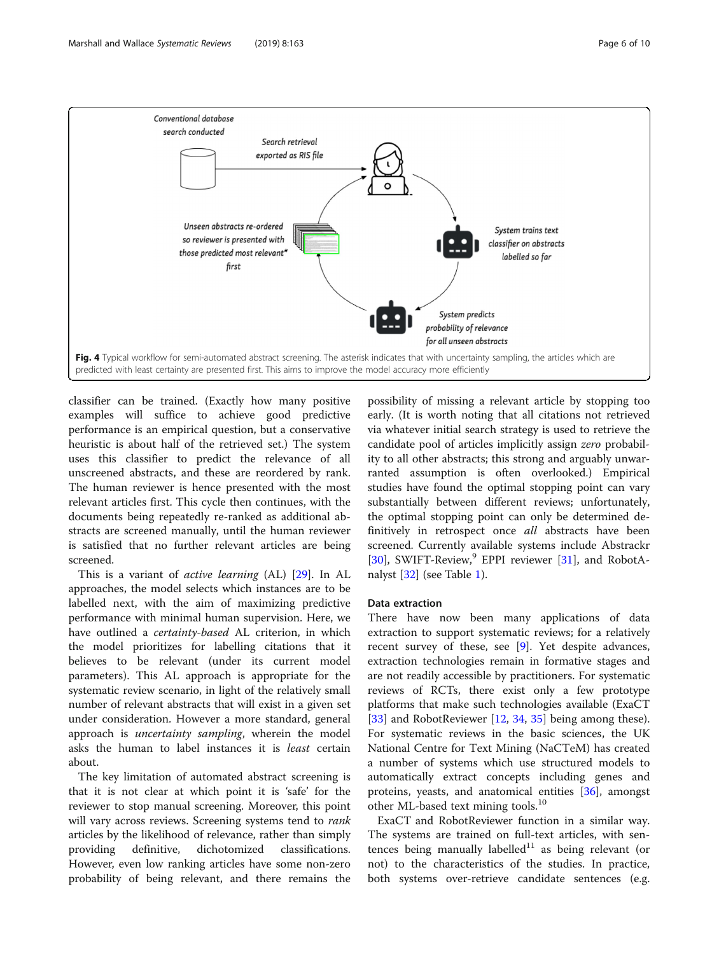<span id="page-5-0"></span>

classifier can be trained. (Exactly how many positive examples will suffice to achieve good predictive performance is an empirical question, but a conservative heuristic is about half of the retrieved set.) The system uses this classifier to predict the relevance of all unscreened abstracts, and these are reordered by rank. The human reviewer is hence presented with the most relevant articles first. This cycle then continues, with the documents being repeatedly re-ranked as additional abstracts are screened manually, until the human reviewer is satisfied that no further relevant articles are being screened.

This is a variant of active learning (AL) [\[29\]](#page-8-0). In AL approaches, the model selects which instances are to be labelled next, with the aim of maximizing predictive performance with minimal human supervision. Here, we have outlined a certainty-based AL criterion, in which the model prioritizes for labelling citations that it believes to be relevant (under its current model parameters). This AL approach is appropriate for the systematic review scenario, in light of the relatively small number of relevant abstracts that will exist in a given set under consideration. However a more standard, general approach is uncertainty sampling, wherein the model asks the human to label instances it is least certain about.

The key limitation of automated abstract screening is that it is not clear at which point it is 'safe' for the reviewer to stop manual screening. Moreover, this point will vary across reviews. Screening systems tend to rank articles by the likelihood of relevance, rather than simply providing definitive, dichotomized classifications. However, even low ranking articles have some non-zero probability of being relevant, and there remains the

possibility of missing a relevant article by stopping too early. (It is worth noting that all citations not retrieved via whatever initial search strategy is used to retrieve the candidate pool of articles implicitly assign zero probability to all other abstracts; this strong and arguably unwarranted assumption is often overlooked.) Empirical studies have found the optimal stopping point can vary substantially between different reviews; unfortunately, the optimal stopping point can only be determined definitively in retrospect once all abstracts have been screened. Currently available systems include Abstrackr [[30\]](#page-8-0), SWIFT-Review,<sup>9</sup> EPPI reviewer [[31\]](#page-8-0), and RobotAnalyst [[32](#page-8-0)] (see Table [1\)](#page-6-0).

#### Data extraction

There have now been many applications of data extraction to support systematic reviews; for a relatively recent survey of these, see [[9\]](#page-8-0). Yet despite advances, extraction technologies remain in formative stages and are not readily accessible by practitioners. For systematic reviews of RCTs, there exist only a few prototype platforms that make such technologies available (ExaCT [[33\]](#page-8-0) and RobotReviewer [[12,](#page-8-0) [34,](#page-8-0) [35\]](#page-8-0) being among these). For systematic reviews in the basic sciences, the UK National Centre for Text Mining (NaCTeM) has created a number of systems which use structured models to automatically extract concepts including genes and proteins, yeasts, and anatomical entities [[36\]](#page-8-0), amongst other ML-based text mining tools.<sup>10</sup>

ExaCT and RobotReviewer function in a similar way. The systems are trained on full-text articles, with sentences being manually labelled $11$  as being relevant (or not) to the characteristics of the studies. In practice, both systems over-retrieve candidate sentences (e.g.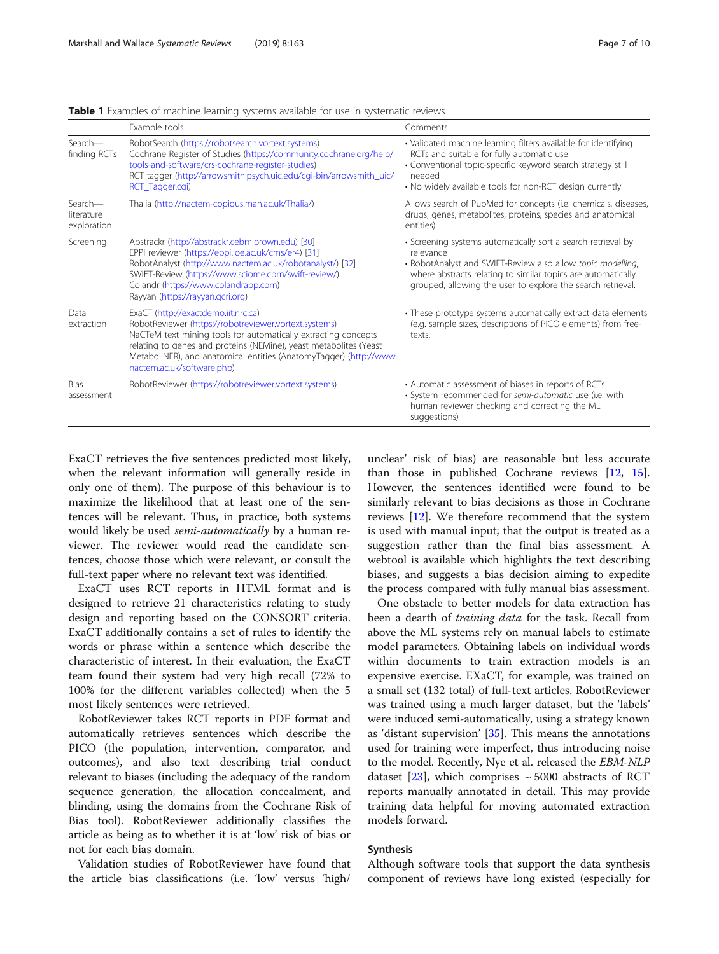|                                      | Example tools                                                                                                                                                                                                                                                                                                                           | Comments                                                                                                                                                                                                                                                                |
|--------------------------------------|-----------------------------------------------------------------------------------------------------------------------------------------------------------------------------------------------------------------------------------------------------------------------------------------------------------------------------------------|-------------------------------------------------------------------------------------------------------------------------------------------------------------------------------------------------------------------------------------------------------------------------|
| Search-<br>finding RCTs              | RobotSearch (https://robotsearch.vortext.systems)<br>Cochrane Register of Studies (https://community.cochrane.org/help/<br>tools-and-software/crs-cochrane-register-studies)<br>RCT tagger (http://arrowsmith.psych.uic.edu/cgi-bin/arrowsmith_uic/<br>RCT_Tagger.cgi)                                                                  | • Validated machine learning filters available for identifying<br>RCTs and suitable for fully automatic use<br>• Conventional topic-specific keyword search strategy still<br>needed<br>• No widely available tools for non-RCT design currently                        |
| Search-<br>literature<br>exploration | Thalia (http://nactem-copious.man.ac.uk/Thalia/)                                                                                                                                                                                                                                                                                        | Allows search of PubMed for concepts (i.e. chemicals, diseases,<br>drugs, genes, metabolites, proteins, species and anatomical<br>entities)                                                                                                                             |
| Screening                            | Abstrackr (http://abstrackr.cebm.brown.edu) [30]<br>EPPI reviewer (https://eppi.ioe.ac.uk/cms/er4) [31]<br>RobotAnalyst (http://www.nactem.ac.uk/robotanalyst/) [32]<br>SWIFT-Review (https://www.sciome.com/swift-review/)<br>Colandr (https://www.colandrapp.com)<br>Rayyan (https://rayyan.gcri.org)                                 | • Screening systems automatically sort a search retrieval by<br>relevance<br>• RobotAnalyst and SWIFT-Review also allow topic modelling,<br>where abstracts relating to similar topics are automatically<br>grouped, allowing the user to explore the search retrieval. |
| Data<br>extraction                   | ExaCT (http://exactdemo.iit.nrc.ca)<br>RobotReviewer (https://robotreviewer.vortext.systems)<br>NaCTeM text mining tools for automatically extracting concepts<br>relating to genes and proteins (NEMine), yeast metabolites (Yeast<br>MetaboliNER), and anatomical entities (AnatomyTagger) (http://www.<br>nactem.ac.uk/software.php) | • These prototype systems automatically extract data elements<br>(e.g. sample sizes, descriptions of PICO elements) from free-<br>texts.                                                                                                                                |
| <b>Bias</b><br>assessment            | RobotReviewer (https://robotreviewer.vortext.systems)                                                                                                                                                                                                                                                                                   | • Automatic assessment of biases in reports of RCTs<br>· System recommended for semi-automatic use (i.e. with<br>human reviewer checking and correcting the ML<br>suggestions)                                                                                          |

<span id="page-6-0"></span>Table 1 Examples of machine learning systems available for use in systematic reviews

ExaCT retrieves the five sentences predicted most likely, when the relevant information will generally reside in only one of them). The purpose of this behaviour is to maximize the likelihood that at least one of the sentences will be relevant. Thus, in practice, both systems would likely be used *semi-automatically* by a human reviewer. The reviewer would read the candidate sentences, choose those which were relevant, or consult the full-text paper where no relevant text was identified.

ExaCT uses RCT reports in HTML format and is designed to retrieve 21 characteristics relating to study design and reporting based on the CONSORT criteria. ExaCT additionally contains a set of rules to identify the words or phrase within a sentence which describe the characteristic of interest. In their evaluation, the ExaCT team found their system had very high recall (72% to 100% for the different variables collected) when the 5 most likely sentences were retrieved.

RobotReviewer takes RCT reports in PDF format and automatically retrieves sentences which describe the PICO (the population, intervention, comparator, and outcomes), and also text describing trial conduct relevant to biases (including the adequacy of the random sequence generation, the allocation concealment, and blinding, using the domains from the Cochrane Risk of Bias tool). RobotReviewer additionally classifies the article as being as to whether it is at 'low' risk of bias or not for each bias domain.

Validation studies of RobotReviewer have found that the article bias classifications (i.e. 'low' versus 'high/

unclear' risk of bias) are reasonable but less accurate than those in published Cochrane reviews [[12,](#page-8-0) [15](#page-8-0)]. However, the sentences identified were found to be similarly relevant to bias decisions as those in Cochrane reviews [\[12](#page-8-0)]. We therefore recommend that the system is used with manual input; that the output is treated as a suggestion rather than the final bias assessment. A webtool is available which highlights the text describing biases, and suggests a bias decision aiming to expedite the process compared with fully manual bias assessment.

One obstacle to better models for data extraction has been a dearth of training data for the task. Recall from above the ML systems rely on manual labels to estimate model parameters. Obtaining labels on individual words within documents to train extraction models is an expensive exercise. EXaCT, for example, was trained on a small set (132 total) of full-text articles. RobotReviewer was trained using a much larger dataset, but the 'labels' were induced semi-automatically, using a strategy known as 'distant supervision' [[35\]](#page-8-0). This means the annotations used for training were imperfect, thus introducing noise to the model. Recently, Nye et al. released the EBM-NLP dataset [[23\]](#page-8-0), which comprises  $\sim$  5000 abstracts of RCT reports manually annotated in detail. This may provide training data helpful for moving automated extraction models forward.

#### Synthesis

Although software tools that support the data synthesis component of reviews have long existed (especially for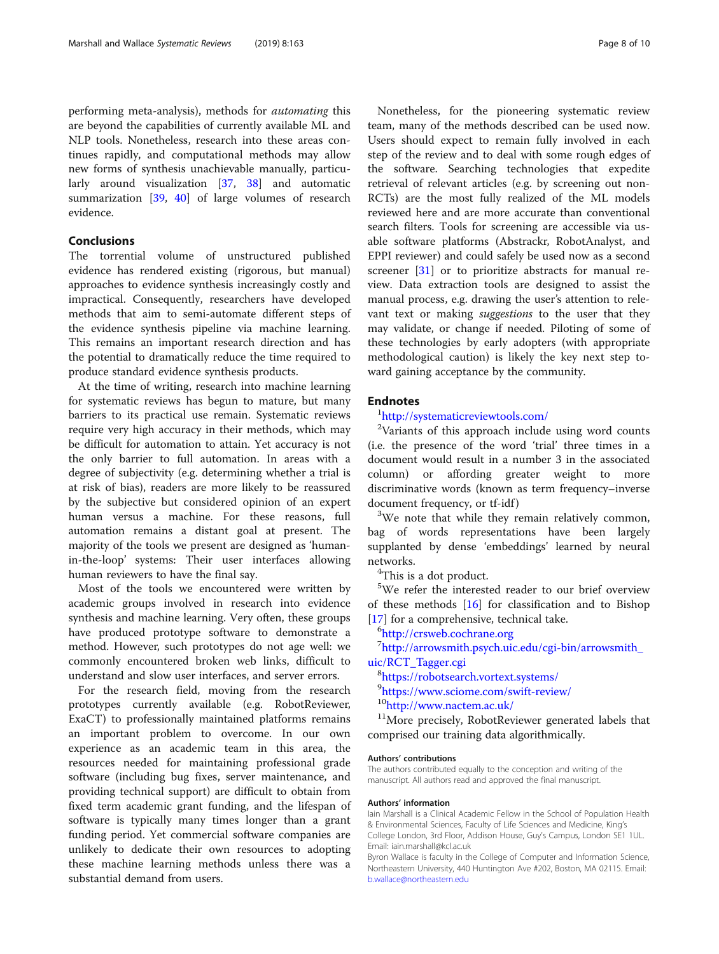performing meta-analysis), methods for automating this are beyond the capabilities of currently available ML and NLP tools. Nonetheless, research into these areas continues rapidly, and computational methods may allow new forms of synthesis unachievable manually, particularly around visualization [[37](#page-8-0), [38](#page-8-0)] and automatic summarization [[39,](#page-9-0) [40](#page-9-0)] of large volumes of research evidence.

#### Conclusions

The torrential volume of unstructured published evidence has rendered existing (rigorous, but manual) approaches to evidence synthesis increasingly costly and impractical. Consequently, researchers have developed methods that aim to semi-automate different steps of the evidence synthesis pipeline via machine learning. This remains an important research direction and has the potential to dramatically reduce the time required to produce standard evidence synthesis products.

At the time of writing, research into machine learning for systematic reviews has begun to mature, but many barriers to its practical use remain. Systematic reviews require very high accuracy in their methods, which may be difficult for automation to attain. Yet accuracy is not the only barrier to full automation. In areas with a degree of subjectivity (e.g. determining whether a trial is at risk of bias), readers are more likely to be reassured by the subjective but considered opinion of an expert human versus a machine. For these reasons, full automation remains a distant goal at present. The majority of the tools we present are designed as 'humanin-the-loop' systems: Their user interfaces allowing human reviewers to have the final say.

Most of the tools we encountered were written by academic groups involved in research into evidence synthesis and machine learning. Very often, these groups have produced prototype software to demonstrate a method. However, such prototypes do not age well: we commonly encountered broken web links, difficult to understand and slow user interfaces, and server errors.

For the research field, moving from the research prototypes currently available (e.g. RobotReviewer, ExaCT) to professionally maintained platforms remains an important problem to overcome. In our own experience as an academic team in this area, the resources needed for maintaining professional grade software (including bug fixes, server maintenance, and providing technical support) are difficult to obtain from fixed term academic grant funding, and the lifespan of software is typically many times longer than a grant funding period. Yet commercial software companies are unlikely to dedicate their own resources to adopting these machine learning methods unless there was a substantial demand from users.

Nonetheless, for the pioneering systematic review team, many of the methods described can be used now. Users should expect to remain fully involved in each step of the review and to deal with some rough edges of the software. Searching technologies that expedite retrieval of relevant articles (e.g. by screening out non-RCTs) are the most fully realized of the ML models reviewed here and are more accurate than conventional search filters. Tools for screening are accessible via usable software platforms (Abstrackr, RobotAnalyst, and EPPI reviewer) and could safely be used now as a second screener [[31\]](#page-8-0) or to prioritize abstracts for manual review. Data extraction tools are designed to assist the manual process, e.g. drawing the user's attention to relevant text or making *suggestions* to the user that they may validate, or change if needed. Piloting of some of these technologies by early adopters (with appropriate methodological caution) is likely the key next step toward gaining acceptance by the community.

#### **Endnotes**

#### <http://systematicreviewtools.com/>

<sup>2</sup>Variants of this approach include using word counts (i.e. the presence of the word 'trial' three times in a document would result in a number 3 in the associated column) or affording greater weight to more discriminative words (known as term frequency–inverse document frequency, or tf-idf)

<sup>3</sup>We note that while they remain relatively common, bag of words representations have been largely supplanted by dense 'embeddings' learned by neural networks. <sup>4</sup>

<sup>4</sup>This is a dot product.

<sup>5</sup>We refer the interested reader to our brief overview of these methods [[16](#page-8-0)] for classification and to Bishop [[17\]](#page-8-0) for a comprehensive, technical take.

6 <http://crsweb.cochrane.org>

7 [http://arrowsmith.psych.uic.edu/cgi-bin/arrowsmith\\_](http://arrowsmith.psych.uic.edu/cgi-bin/arrowsmith_uic/RCT_Tagger.cgi) [uic/RCT\\_Tagger.cgi](http://arrowsmith.psych.uic.edu/cgi-bin/arrowsmith_uic/RCT_Tagger.cgi) <sup>8</sup>

<https://robotsearch.vortext.systems/>

9 <https://www.sciome.com/swift-review/>

1[0http://www.nactem.ac.uk/](http://www.nactem.ac.uk/)

<sup>11</sup>More precisely, RobotReviewer generated labels that comprised our training data algorithmically.

#### Authors' contributions

The authors contributed equally to the conception and writing of the manuscript. All authors read and approved the final manuscript.

#### Authors' information

Iain Marshall is a Clinical Academic Fellow in the School of Population Health & Environmental Sciences, Faculty of Life Sciences and Medicine, King's College London, 3rd Floor, Addison House, Guy's Campus, London SE1 1UL. Email: iain.marshall@kcl.ac.uk

Byron Wallace is faculty in the College of Computer and Information Science, Northeastern University, 440 Huntington Ave #202, Boston, MA 02115. Email: [b.wallace@northeastern.edu](mailto:b.wallace@northeastern.edu)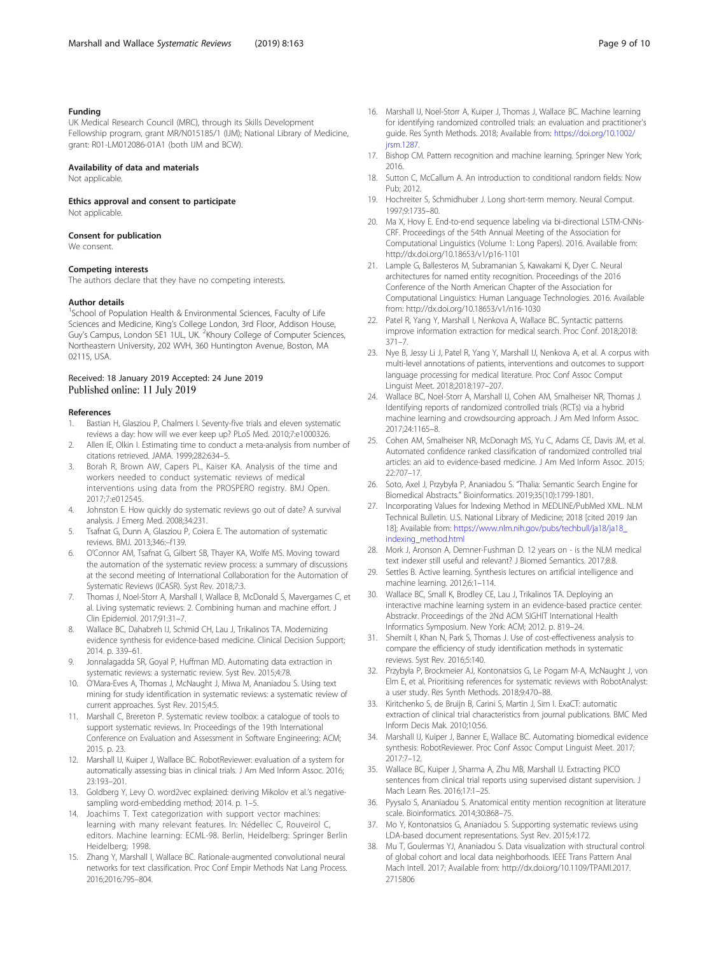#### <span id="page-8-0"></span>Funding

UK Medical Research Council (MRC), through its Skills Development Fellowship program, grant MR/N015185/1 (IJM); National Library of Medicine, grant: R01-LM012086-01A1 (both IJM and BCW).

#### Availability of data and materials

Not applicable.

Ethics approval and consent to participate Not applicable.

#### Consent for publication

We consent.

#### Competing interests

The authors declare that they have no competing interests.

#### Author details

<sup>1</sup>School of Population Health & Environmental Sciences, Faculty of Life Sciences and Medicine, King's College London, 3rd Floor, Addison House, Guy's Campus, London SE1 1UL, UK. <sup>2</sup>Khoury College of Computer Sciences, Northeastern University, 202 WVH, 360 Huntington Avenue, Boston, MA 02115, USA.

#### Received: 18 January 2019 Accepted: 24 June 2019 Published online: 11 July 2019

#### References

- 1. Bastian H, Glasziou P, Chalmers I. Seventy-five trials and eleven systematic reviews a day: how will we ever keep up? PLoS Med. 2010;7:e1000326.
- 2. Allen IE, Olkin I. Estimating time to conduct a meta-analysis from number of citations retrieved. JAMA. 1999;282:634–5.
- 3. Borah R, Brown AW, Capers PL, Kaiser KA. Analysis of the time and workers needed to conduct systematic reviews of medical interventions using data from the PROSPERO registry. BMJ Open. 2017;7:e012545.
- 4. Johnston E. How quickly do systematic reviews go out of date? A survival analysis. J Emerg Med. 2008;34:231.
- 5. Tsafnat G, Dunn A, Glasziou P, Coiera E. The automation of systematic reviews. BMJ. 2013;346:–f139.
- 6. O'Connor AM, Tsafnat G, Gilbert SB, Thayer KA, Wolfe MS. Moving toward the automation of the systematic review process: a summary of discussions at the second meeting of International Collaboration for the Automation of Systematic Reviews (ICASR). Syst Rev. 2018;7:3.
- 7. Thomas J, Noel-Storr A, Marshall I, Wallace B, McDonald S, Mavergames C, et al. Living systematic reviews: 2. Combining human and machine effort. J Clin Epidemiol. 2017;91:31–7.
- 8. Wallace BC, Dahabreh IJ, Schmid CH, Lau J, Trikalinos TA. Modernizing evidence synthesis for evidence-based medicine. Clinical Decision Support; 2014. p. 339–61.
- 9. Jonnalagadda SR, Goyal P, Huffman MD. Automating data extraction in systematic reviews: a systematic review. Syst Rev. 2015;4:78.
- 10. O'Mara-Eves A, Thomas J, McNaught J, Miwa M, Ananiadou S. Using text mining for study identification in systematic reviews: a systematic review of current approaches. Syst Rev. 2015;4:5.
- 11. Marshall C, Brereton P. Systematic review toolbox: a catalogue of tools to support systematic reviews. In: Proceedings of the 19th International Conference on Evaluation and Assessment in Software Engineering: ACM; 2015. p. 23.
- 12. Marshall IJ, Kuiper J, Wallace BC. RobotReviewer: evaluation of a system for automatically assessing bias in clinical trials. J Am Med Inform Assoc. 2016; 23:193–201.
- 13. Goldberg Y, Levy O. word2vec explained: deriving Mikolov et al.'s negativesampling word-embedding method; 2014. p. 1–5.
- 14. Joachims T. Text categorization with support vector machines: learning with many relevant features. In: Nédellec C, Rouveirol C, editors. Machine learning: ECML-98. Berlin, Heidelberg: Springer Berlin Heidelberg; 1998.
- 15. Zhang Y, Marshall I, Wallace BC. Rationale-augmented convolutional neural networks for text classification. Proc Conf Empir Methods Nat Lang Process. 2016;2016:795–804.
- 16. Marshall IJ, Noel-Storr A, Kuiper J, Thomas J, Wallace BC. Machine learning for identifying randomized controlled trials: an evaluation and practitioner's guide. Res Synth Methods. 2018; Available from: [https://doi.org/10.1002/](https://doi.org/10.1002/jrsm.1287) irsm.1287
- 17. Bishop CM. Pattern recognition and machine learning. Springer New York; 2016.
- 18. Sutton C, McCallum A. An introduction to conditional random fields: Now Pub; 2012.
- 19. Hochreiter S, Schmidhuber J. Long short-term memory. Neural Comput. 1997;9:1735–80.
- 20. Ma X, Hovy E. End-to-end sequence labeling via bi-directional LSTM-CNNs-CRF. Proceedings of the 54th Annual Meeting of the Association for Computational Linguistics (Volume 1: Long Papers). 2016. Available from: http://dx.doi.org/10.18653/v1/p16-1101
- 21. Lample G, Ballesteros M, Subramanian S, Kawakami K, Dyer C. Neural architectures for named entity recognition. Proceedings of the 2016 Conference of the North American Chapter of the Association for Computational Linguistics: Human Language Technologies. 2016. Available from: http://dx.doi.org/10.18653/v1/n16-1030
- 22. Patel R, Yang Y, Marshall I, Nenkova A, Wallace BC. Syntactic patterns improve information extraction for medical search. Proc Conf. 2018;2018:  $371 - 7$
- 23. Nye B, Jessy Li J, Patel R, Yang Y, Marshall IJ, Nenkova A, et al. A corpus with multi-level annotations of patients, interventions and outcomes to support language processing for medical literature. Proc Conf Assoc Comput Linguist Meet. 2018;2018:197–207.
- 24. Wallace BC, Noel-Storr A, Marshall IJ, Cohen AM, Smalheiser NR, Thomas J. Identifying reports of randomized controlled trials (RCTs) via a hybrid machine learning and crowdsourcing approach. J Am Med Inform Assoc. 2017;24:1165–8.
- 25. Cohen AM, Smalheiser NR, McDonagh MS, Yu C, Adams CE, Davis JM, et al. Automated confidence ranked classification of randomized controlled trial articles: an aid to evidence-based medicine. J Am Med Inform Assoc. 2015; 22:707–17.
- 26. Soto, Axel J, Przybyła P, Ananiadou S. "Thalia: Semantic Search Engine for Biomedical Abstracts." Bioinformatics. 2019;35(10):1799-1801.
- 27. Incorporating Values for Indexing Method in MEDLINE/PubMed XML. NLM Technical Bulletin. U.S. National Library of Medicine; 2018 [cited 2019 Jan 18]; Available from: [https://www.nlm.nih.gov/pubs/techbull/ja18/ja18\\_](https://www.nlm.nih.gov/pubs/techbull/ja18/ja18_indexing_method.html) [indexing\\_method.html](https://www.nlm.nih.gov/pubs/techbull/ja18/ja18_indexing_method.html)
- 28. Mork J, Aronson A, Demner-Fushman D. 12 years on is the NLM medical text indexer still useful and relevant? J Biomed Semantics. 2017;8:8.
- 29. Settles B. Active learning. Synthesis lectures on artificial intelligence and machine learning. 2012;6:1–114.
- 30. Wallace BC, Small K, Brodley CE, Lau J, Trikalinos TA. Deploying an interactive machine learning system in an evidence-based practice center: Abstrackr. Proceedings of the 2Nd ACM SIGHIT International Health Informatics Symposium. New York: ACM; 2012. p. 819–24.
- 31. Shemilt I, Khan N, Park S, Thomas J. Use of cost-effectiveness analysis to compare the efficiency of study identification methods in systematic reviews. Syst Rev. 2016;5:140.
- 32. Przybyła P, Brockmeier AJ, Kontonatsios G, Le Pogam M-A, McNaught J, von Elm E, et al. Prioritising references for systematic reviews with RobotAnalyst: a user study. Res Synth Methods. 2018;9:470–88.
- 33. Kiritchenko S, de Bruijn B, Carini S, Martin J, Sim I. ExaCT: automatic extraction of clinical trial characteristics from journal publications. BMC Med Inform Decis Mak. 2010;10:56.
- 34. Marshall IJ, Kuiper J, Banner E, Wallace BC. Automating biomedical evidence synthesis: RobotReviewer. Proc Conf Assoc Comput Linguist Meet. 2017; 2017:7–12.
- 35. Wallace BC, Kuiper J, Sharma A, Zhu MB, Marshall IJ. Extracting PICO sentences from clinical trial reports using supervised distant supervision. J Mach Learn Res. 2016;17:1–25.
- 36. Pyysalo S, Ananiadou S. Anatomical entity mention recognition at literature scale. Bioinformatics. 2014;30:868–75.
- 37. Mo Y, Kontonatsios G, Ananiadou S. Supporting systematic reviews using LDA-based document representations. Syst Rev. 2015;4:172.
- 38. Mu T, Goulermas YJ, Ananiadou S. Data visualization with structural control of global cohort and local data neighborhoods. IEEE Trans Pattern Anal Mach Intell. 2017; Available from: http://dx.doi.org/10.1109/TPAMI.2017. 2715806